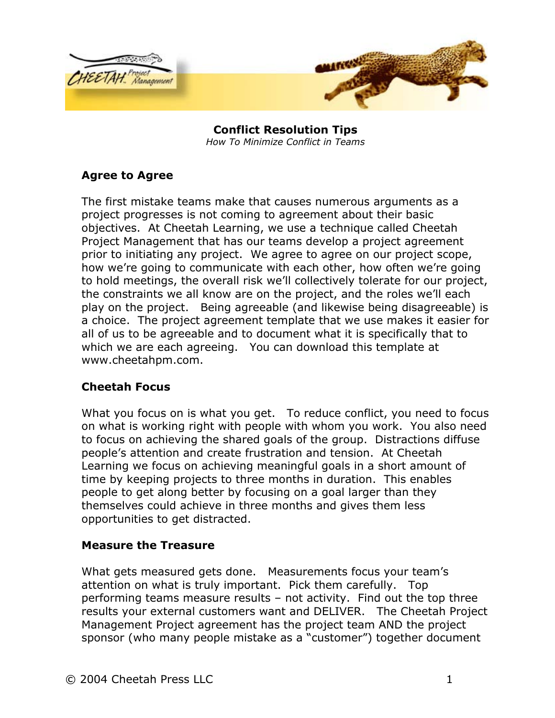

**Conflict Resolution Tips**  *How To Minimize Conflict in Teams* 

## **Agree to Agree**

The first mistake teams make that causes numerous arguments as a project progresses is not coming to agreement about their basic objectives. At Cheetah Learning, we use a technique called Cheetah Project Management that has our teams develop a project agreement prior to initiating any project. We agree to agree on our project scope, how we're going to communicate with each other, how often we're going to hold meetings, the overall risk we'll collectively tolerate for our project, the constraints we all know are on the project, and the roles we'll each play on the project. Being agreeable (and likewise being disagreeable) is a choice. The project agreement template that we use makes it easier for all of us to be agreeable and to document what it is specifically that to which we are each agreeing. You can download this template at www.cheetahpm.com.

### **Cheetah Focus**

What you focus on is what you get. To reduce conflict, you need to focus on what is working right with people with whom you work. You also need to focus on achieving the shared goals of the group. Distractions diffuse people's attention and create frustration and tension. At Cheetah Learning we focus on achieving meaningful goals in a short amount of time by keeping projects to three months in duration. This enables people to get along better by focusing on a goal larger than they themselves could achieve in three months and gives them less opportunities to get distracted.

### **Measure the Treasure**

What gets measured gets done. Measurements focus your team's attention on what is truly important. Pick them carefully. Top performing teams measure results – not activity. Find out the top three results your external customers want and DELIVER. The Cheetah Project Management Project agreement has the project team AND the project sponsor (who many people mistake as a "customer") together document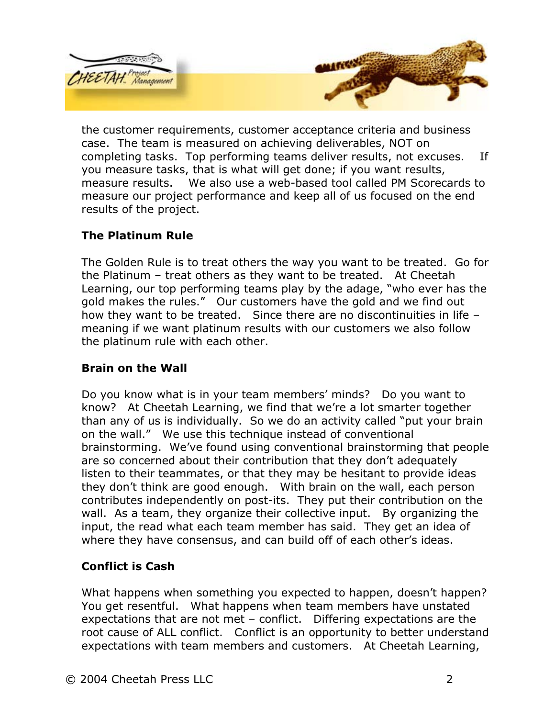

the customer requirements, customer acceptance criteria and business case. The team is measured on achieving deliverables, NOT on completing tasks. Top performing teams deliver results, not excuses. If you measure tasks, that is what will get done; if you want results, measure results. We also use a web-based tool called PM Scorecards to measure our project performance and keep all of us focused on the end results of the project.

# **The Platinum Rule**

The Golden Rule is to treat others the way you want to be treated. Go for the Platinum – treat others as they want to be treated. At Cheetah Learning, our top performing teams play by the adage, "who ever has the gold makes the rules." Our customers have the gold and we find out how they want to be treated. Since there are no discontinuities in life – meaning if we want platinum results with our customers we also follow the platinum rule with each other.

# **Brain on the Wall**

Do you know what is in your team members' minds? Do you want to know? At Cheetah Learning, we find that we're a lot smarter together than any of us is individually. So we do an activity called "put your brain on the wall." We use this technique instead of conventional brainstorming. We've found using conventional brainstorming that people are so concerned about their contribution that they don't adequately listen to their teammates, or that they may be hesitant to provide ideas they don't think are good enough. With brain on the wall, each person contributes independently on post-its. They put their contribution on the wall. As a team, they organize their collective input. By organizing the input, the read what each team member has said. They get an idea of where they have consensus, and can build off of each other's ideas.

# **Conflict is Cash**

What happens when something you expected to happen, doesn't happen? You get resentful. What happens when team members have unstated expectations that are not met – conflict. Differing expectations are the root cause of ALL conflict. Conflict is an opportunity to better understand expectations with team members and customers. At Cheetah Learning,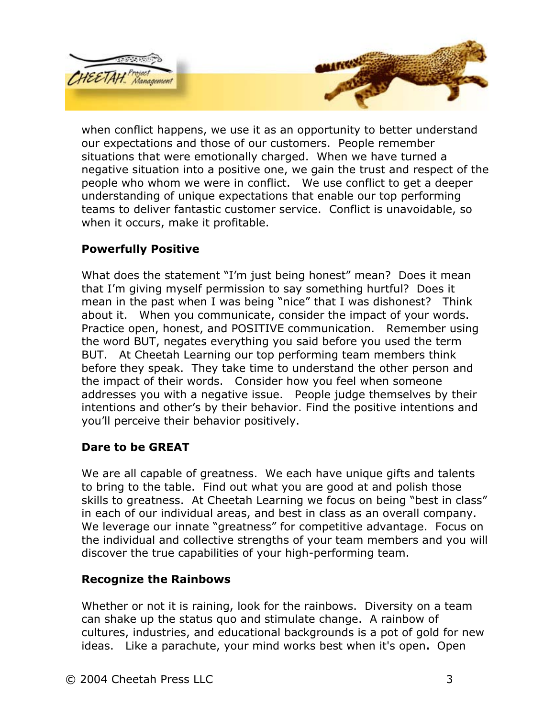

when conflict happens, we use it as an opportunity to better understand our expectations and those of our customers. People remember situations that were emotionally charged. When we have turned a negative situation into a positive one, we gain the trust and respect of the people who whom we were in conflict. We use conflict to get a deeper understanding of unique expectations that enable our top performing teams to deliver fantastic customer service. Conflict is unavoidable, so when it occurs, make it profitable.

### **Powerfully Positive**

What does the statement "I'm just being honest" mean? Does it mean that I'm giving myself permission to say something hurtful? Does it mean in the past when I was being "nice" that I was dishonest? Think about it. When you communicate, consider the impact of your words. Practice open, honest, and POSITIVE communication. Remember using the word BUT, negates everything you said before you used the term BUT. At Cheetah Learning our top performing team members think before they speak. They take time to understand the other person and the impact of their words. Consider how you feel when someone addresses you with a negative issue. People judge themselves by their intentions and other's by their behavior. Find the positive intentions and you'll perceive their behavior positively.

# **Dare to be GREAT**

We are all capable of greatness. We each have unique gifts and talents to bring to the table. Find out what you are good at and polish those skills to greatness. At Cheetah Learning we focus on being "best in class" in each of our individual areas, and best in class as an overall company. We leverage our innate "greatness" for competitive advantage. Focus on the individual and collective strengths of your team members and you will discover the true capabilities of your high-performing team.

### **Recognize the Rainbows**

Whether or not it is raining, look for the rainbows. Diversity on a team can shake up the status quo and stimulate change. A rainbow of cultures, industries, and educational backgrounds is a pot of gold for new ideas. Like a parachute, your mind works best when it's open**.** Open